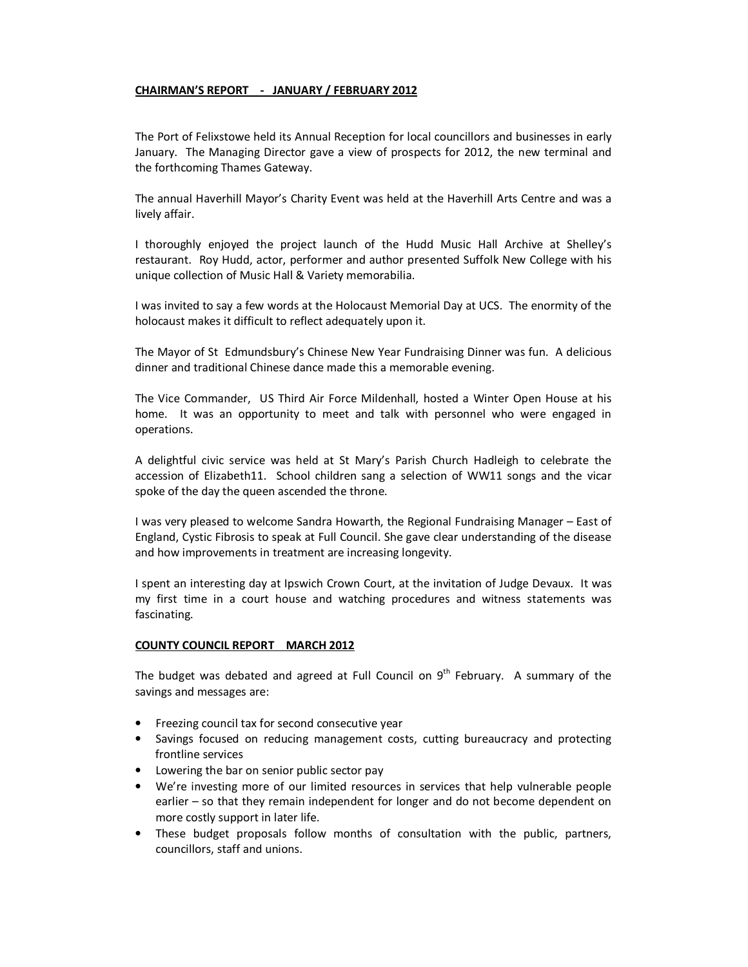# **CHAIRMAN'S REPORT - JANUARY / FEBRUARY 2012**

The Port of Felixstowe held its Annual Reception for local councillors and businesses in early January. The Managing Director gave a view of prospects for 2012, the new terminal and the forthcoming Thames Gateway.

The annual Haverhill Mayor's Charity Event was held at the Haverhill Arts Centre and was a lively affair.

I thoroughly enjoyed the project launch of the Hudd Music Hall Archive at Shelley's restaurant. Roy Hudd, actor, performer and author presented Suffolk New College with his unique collection of Music Hall & Variety memorabilia.

I was invited to say a few words at the Holocaust Memorial Day at UCS. The enormity of the holocaust makes it difficult to reflect adequately upon it.

The Mayor of St Edmundsbury's Chinese New Year Fundraising Dinner was fun. A delicious dinner and traditional Chinese dance made this a memorable evening.

The Vice Commander, US Third Air Force Mildenhall, hosted a Winter Open House at his home. It was an opportunity to meet and talk with personnel who were engaged in operations.

A delightful civic service was held at St Mary's Parish Church Hadleigh to celebrate the accession of Elizabeth11. School children sang a selection of WW11 songs and the vicar spoke of the day the queen ascended the throne.

I was very pleased to welcome Sandra Howarth, the Regional Fundraising Manager – East of England, Cystic Fibrosis to speak at Full Council. She gave clear understanding of the disease and how improvements in treatment are increasing longevity.

I spent an interesting day at Ipswich Crown Court, at the invitation of Judge Devaux. It was my first time in a court house and watching procedures and witness statements was fascinating.

## **COUNTY COUNCIL REPORT MARCH 2012**

The budget was debated and agreed at Full Council on  $9<sup>th</sup>$  February. A summary of the savings and messages are:

- Freezing council tax for second consecutive year
- Savings focused on reducing management costs, cutting bureaucracy and protecting frontline services
- Lowering the bar on senior public sector pay
- We're investing more of our limited resources in services that help vulnerable people earlier – so that they remain independent for longer and do not become dependent on more costly support in later life.
- These budget proposals follow months of consultation with the public, partners, councillors, staff and unions.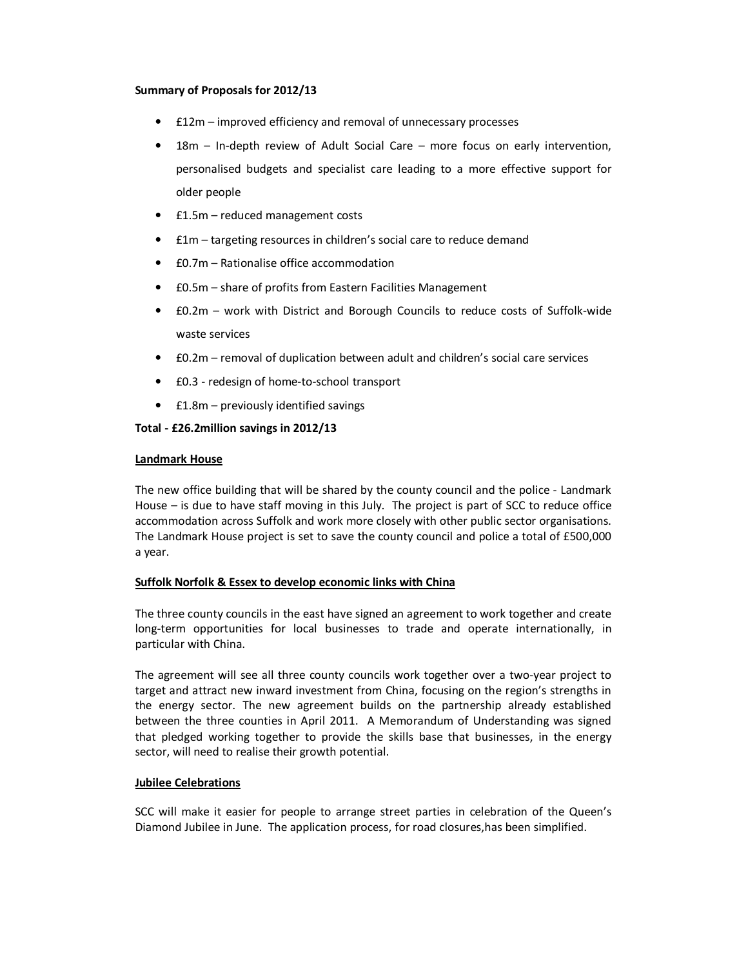#### **Summary of Proposals for 2012/13**

- £12m improved efficiency and removal of unnecessary processes
- 18m In-depth review of Adult Social Care more focus on early intervention, personalised budgets and specialist care leading to a more effective support for older people
- £1.5m reduced management costs
- £1m targeting resources in children's social care to reduce demand
- £0.7m Rationalise office accommodation
- £0.5m share of profits from Eastern Facilities Management
- £0.2m work with District and Borough Councils to reduce costs of Suffolk-wide waste services
- £0.2m removal of duplication between adult and children's social care services
- £0.3 redesign of home-to-school transport
- £1.8m previously identified savings

## **Total - £26.2million savings in 2012/13**

#### **Landmark House**

The new office building that will be shared by the county council and the police - Landmark House – is due to have staff moving in this July. The project is part of SCC to reduce office accommodation across Suffolk and work more closely with other public sector organisations. The Landmark House project is set to save the county council and police a total of £500,000 a year.

## **Suffolk Norfolk & Essex to develop economic links with China**

The three county councils in the east have signed an agreement to work together and create long-term opportunities for local businesses to trade and operate internationally, in particular with China.

The agreement will see all three county councils work together over a two-year project to target and attract new inward investment from China, focusing on the region's strengths in the energy sector. The new agreement builds on the partnership already established between the three counties in April 2011. A Memorandum of Understanding was signed that pledged working together to provide the skills base that businesses, in the energy sector, will need to realise their growth potential.

## **Jubilee Celebrations**

SCC will make it easier for people to arrange street parties in celebration of the Queen's Diamond Jubilee in June. The application process, for road closures,has been simplified.